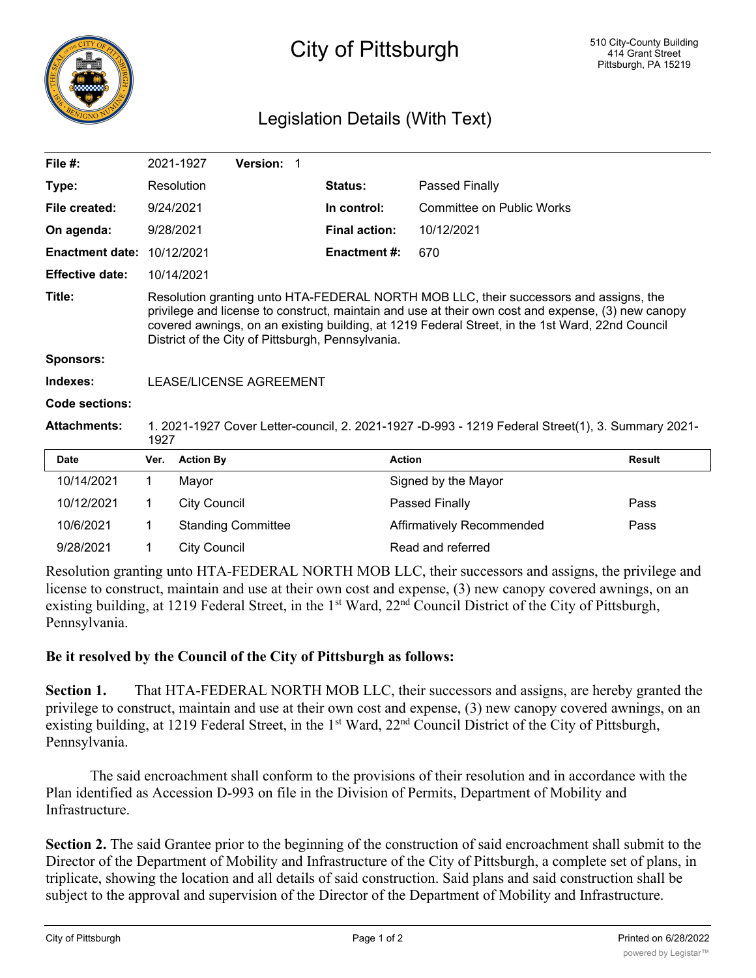

## City of Pittsburgh

## Legislation Details (With Text)

| File $#$ :             |                                                                                                                                                                                                                                                                                                                                                     | 2021-1927           | <b>Version: 1</b>         |  |                      |                           |               |
|------------------------|-----------------------------------------------------------------------------------------------------------------------------------------------------------------------------------------------------------------------------------------------------------------------------------------------------------------------------------------------------|---------------------|---------------------------|--|----------------------|---------------------------|---------------|
| Type:                  |                                                                                                                                                                                                                                                                                                                                                     | Resolution          |                           |  | <b>Status:</b>       | Passed Finally            |               |
| File created:          | 9/24/2021                                                                                                                                                                                                                                                                                                                                           |                     |                           |  | In control:          | Committee on Public Works |               |
| On agenda:             | 9/28/2021                                                                                                                                                                                                                                                                                                                                           |                     |                           |  | <b>Final action:</b> | 10/12/2021                |               |
| <b>Enactment date:</b> |                                                                                                                                                                                                                                                                                                                                                     | 10/12/2021          |                           |  | <b>Enactment #:</b>  | 670                       |               |
| <b>Effective date:</b> |                                                                                                                                                                                                                                                                                                                                                     | 10/14/2021          |                           |  |                      |                           |               |
| Title:                 | Resolution granting unto HTA-FEDERAL NORTH MOB LLC, their successors and assigns, the<br>privilege and license to construct, maintain and use at their own cost and expense, (3) new canopy<br>covered awnings, on an existing building, at 1219 Federal Street, in the 1st Ward, 22nd Council<br>District of the City of Pittsburgh, Pennsylvania. |                     |                           |  |                      |                           |               |
| <b>Sponsors:</b>       |                                                                                                                                                                                                                                                                                                                                                     |                     |                           |  |                      |                           |               |
| Indexes:               | LEASE/LICENSE AGREEMENT                                                                                                                                                                                                                                                                                                                             |                     |                           |  |                      |                           |               |
| <b>Code sections:</b>  |                                                                                                                                                                                                                                                                                                                                                     |                     |                           |  |                      |                           |               |
| <b>Attachments:</b>    | 1. 2021-1927 Cover Letter-council, 2. 2021-1927 -D-993 - 1219 Federal Street(1), 3. Summary 2021-<br>1927                                                                                                                                                                                                                                           |                     |                           |  |                      |                           |               |
| <b>Date</b>            | Ver.                                                                                                                                                                                                                                                                                                                                                | <b>Action By</b>    |                           |  |                      | <b>Action</b>             | <b>Result</b> |
| 10/14/2021             | $\mathbf{1}$                                                                                                                                                                                                                                                                                                                                        | Mayor               |                           |  |                      | Signed by the Mayor       |               |
| 10/12/2021             | 1.                                                                                                                                                                                                                                                                                                                                                  | <b>City Council</b> |                           |  |                      | Passed Finally            | Pass          |
| 10/6/2021              | 1                                                                                                                                                                                                                                                                                                                                                   |                     | <b>Standing Committee</b> |  |                      | Affirmatively Recommended | Pass          |
| 9/28/2021              | 1                                                                                                                                                                                                                                                                                                                                                   | <b>City Council</b> |                           |  |                      | Read and referred         |               |

Resolution granting unto HTA-FEDERAL NORTH MOB LLC, their successors and assigns, the privilege and license to construct, maintain and use at their own cost and expense, (3) new canopy covered awnings, on an existing building, at 1219 Federal Street, in the 1<sup>st</sup> Ward, 22<sup>nd</sup> Council District of the City of Pittsburgh, Pennsylvania.

## **Be it resolved by the Council of the City of Pittsburgh as follows:**

**Section 1.** That HTA-FEDERAL NORTH MOB LLC, their successors and assigns, are hereby granted the privilege to construct, maintain and use at their own cost and expense, (3) new canopy covered awnings, on an existing building, at 1219 Federal Street, in the 1<sup>st</sup> Ward, 22<sup>nd</sup> Council District of the City of Pittsburgh, Pennsylvania.

The said encroachment shall conform to the provisions of their resolution and in accordance with the Plan identified as Accession D-993 on file in the Division of Permits, Department of Mobility and Infrastructure.

**Section 2.** The said Grantee prior to the beginning of the construction of said encroachment shall submit to the Director of the Department of Mobility and Infrastructure of the City of Pittsburgh, a complete set of plans, in triplicate, showing the location and all details of said construction. Said plans and said construction shall be subject to the approval and supervision of the Director of the Department of Mobility and Infrastructure.